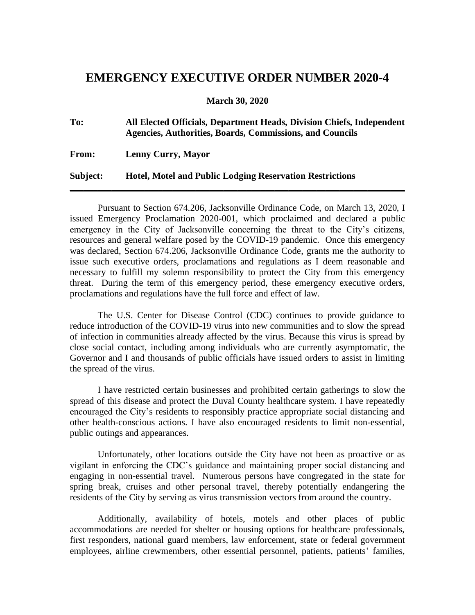## **EMERGENCY EXECUTIVE ORDER NUMBER 2020-4**

**March 30, 2020**

| To:          | All Elected Officials, Department Heads, Division Chiefs, Independent<br>Agencies, Authorities, Boards, Commissions, and Councils |
|--------------|-----------------------------------------------------------------------------------------------------------------------------------|
| <b>From:</b> | <b>Lenny Curry, Mayor</b>                                                                                                         |
| Subject:     | <b>Hotel, Motel and Public Lodging Reservation Restrictions</b>                                                                   |

Pursuant to Section 674.206, Jacksonville Ordinance Code, on March 13, 2020, I issued Emergency Proclamation 2020-001, which proclaimed and declared a public emergency in the City of Jacksonville concerning the threat to the City's citizens, resources and general welfare posed by the COVID-19 pandemic. Once this emergency was declared, Section 674.206, Jacksonville Ordinance Code, grants me the authority to issue such executive orders, proclamations and regulations as I deem reasonable and necessary to fulfill my solemn responsibility to protect the City from this emergency threat. During the term of this emergency period, these emergency executive orders, proclamations and regulations have the full force and effect of law.

The U.S. Center for Disease Control (CDC) continues to provide guidance to reduce introduction of the COVID-19 virus into new communities and to slow the spread of infection in communities already affected by the virus. Because this virus is spread by close social contact, including among individuals who are currently asymptomatic, the Governor and I and thousands of public officials have issued orders to assist in limiting the spread of the virus.

I have restricted certain businesses and prohibited certain gatherings to slow the spread of this disease and protect the Duval County healthcare system. I have repeatedly encouraged the City's residents to responsibly practice appropriate social distancing and other health-conscious actions. I have also encouraged residents to limit non-essential, public outings and appearances.

Unfortunately, other locations outside the City have not been as proactive or as vigilant in enforcing the CDC's guidance and maintaining proper social distancing and engaging in non-essential travel. Numerous persons have congregated in the state for spring break, cruises and other personal travel, thereby potentially endangering the residents of the City by serving as virus transmission vectors from around the country.

Additionally, availability of hotels, motels and other places of public accommodations are needed for shelter or housing options for healthcare professionals, first responders, national guard members, law enforcement, state or federal government employees, airline crewmembers, other essential personnel, patients, patients' families,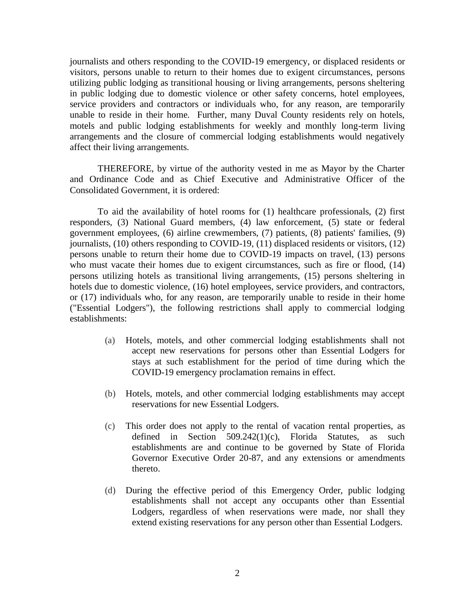journalists and others responding to the COVID-19 emergency, or displaced residents or visitors, persons unable to return to their homes due to exigent circumstances, persons utilizing public lodging as transitional housing or living arrangements, persons sheltering in public lodging due to domestic violence or other safety concerns, hotel employees, service providers and contractors or individuals who, for any reason, are temporarily unable to reside in their home. Further, many Duval County residents rely on hotels, motels and public lodging establishments for weekly and monthly long-term living arrangements and the closure of commercial lodging establishments would negatively affect their living arrangements.

THEREFORE, by virtue of the authority vested in me as Mayor by the Charter and Ordinance Code and as Chief Executive and Administrative Officer of the Consolidated Government, it is ordered:

To aid the availability of hotel rooms for (1) healthcare professionals, (2) first responders, (3) National Guard members, (4) law enforcement, (5) state or federal government employees, (6) airline crewmembers, (7) patients, (8) patients' families, (9) journalists, (10) others responding to COVID-19, (11) displaced residents or visitors, (12) persons unable to return their home due to COVID-19 impacts on travel, (13) persons who must vacate their homes due to exigent circumstances, such as fire or flood, (14) persons utilizing hotels as transitional living arrangements, (15) persons sheltering in hotels due to domestic violence, (16) hotel employees, service providers, and contractors, or (17) individuals who, for any reason, are temporarily unable to reside in their home ("Essential Lodgers"), the following restrictions shall apply to commercial lodging establishments:

- (a) Hotels, motels, and other commercial lodging establishments shall not accept new reservations for persons other than Essential Lodgers for stays at such establishment for the period of time during which the COVID-19 emergency proclamation remains in effect.
- (b) Hotels, motels, and other commercial lodging establishments may accept reservations for new Essential Lodgers.
- (c) This order does not apply to the rental of vacation rental properties, as defined in Section 509.242(1)(c), Florida Statutes, as such establishments are and continue to be governed by State of Florida Governor Executive Order 20-87, and any extensions or amendments thereto.
- (d) During the effective period of this Emergency Order, public lodging establishments shall not accept any occupants other than Essential Lodgers, regardless of when reservations were made, nor shall they extend existing reservations for any person other than Essential Lodgers.